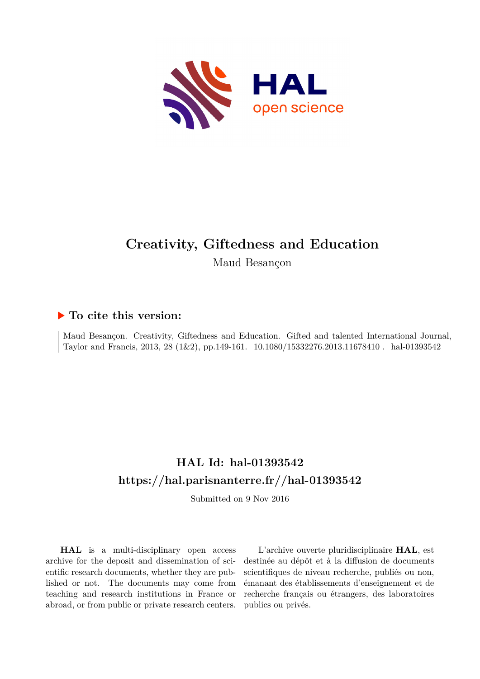

# **Creativity, Giftedness and Education**

Maud Besançon

## **To cite this version:**

Maud Besançon. Creativity, Giftedness and Education. Gifted and talented International Journal, Taylor and Francis, 2013, 28 (1&2), pp.149-161. 10.1080/15332276.2013.11678410. hal-01393542

## **HAL Id: hal-01393542 <https://hal.parisnanterre.fr//hal-01393542>**

Submitted on 9 Nov 2016

**HAL** is a multi-disciplinary open access archive for the deposit and dissemination of scientific research documents, whether they are published or not. The documents may come from teaching and research institutions in France or abroad, or from public or private research centers.

L'archive ouverte pluridisciplinaire **HAL**, est destinée au dépôt et à la diffusion de documents scientifiques de niveau recherche, publiés ou non, émanant des établissements d'enseignement et de recherche français ou étrangers, des laboratoires publics ou privés.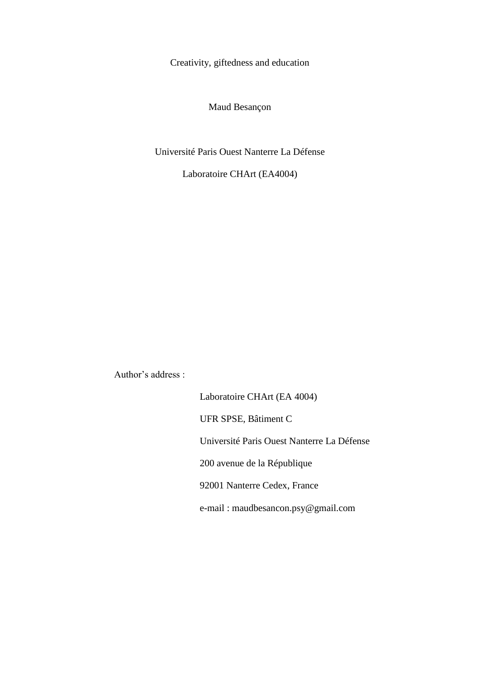Creativity, giftedness and education

Maud Besançon

Université Paris Ouest Nanterre La Défense

Laboratoire CHArt (EA4004)

Author's address :

Laboratoire CHArt (EA 4004) UFR SPSE, Bâtiment C Université Paris Ouest Nanterre La Défense 200 avenue de la République 92001 Nanterre Cedex, France e-mail : maudbesancon.psy@gmail.com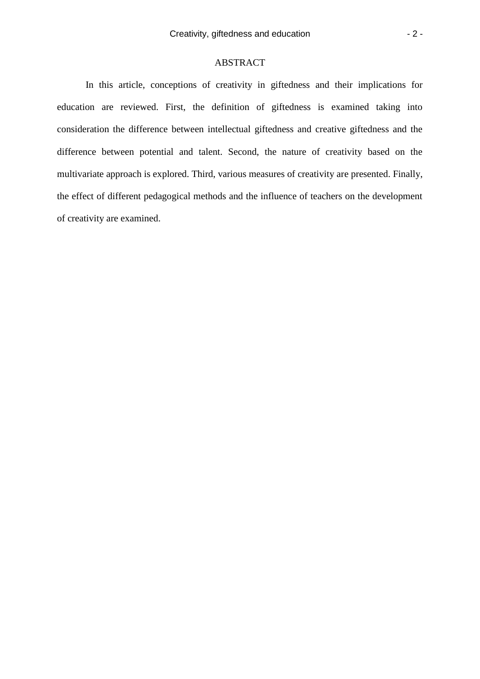## ABSTRACT

In this article, conceptions of creativity in giftedness and their implications for education are reviewed. First, the definition of giftedness is examined taking into consideration the difference between intellectual giftedness and creative giftedness and the difference between potential and talent. Second, the nature of creativity based on the multivariate approach is explored. Third, various measures of creativity are presented. Finally, the effect of different pedagogical methods and the influence of teachers on the development of creativity are examined.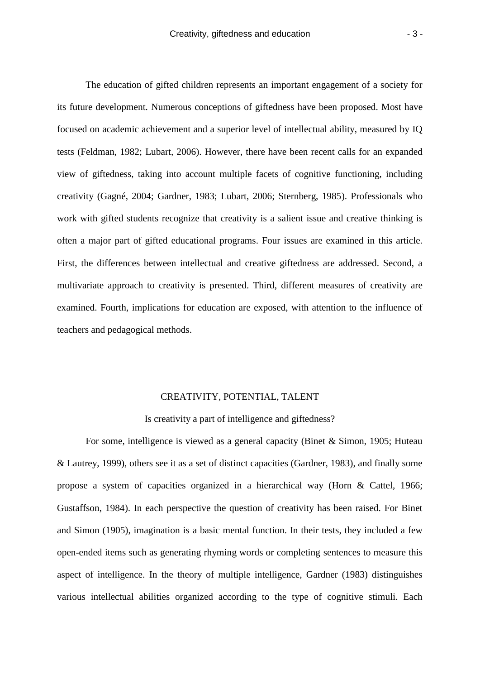The education of gifted children represents an important engagement of a society for its future development. Numerous conceptions of giftedness have been proposed. Most have focused on academic achievement and a superior level of intellectual ability, measured by IQ tests (Feldman, 1982; Lubart, 2006). However, there have been recent calls for an expanded view of giftedness, taking into account multiple facets of cognitive functioning, including creativity (Gagné, 2004; Gardner, 1983; Lubart, 2006; Sternberg, 1985). Professionals who work with gifted students recognize that creativity is a salient issue and creative thinking is often a major part of gifted educational programs. Four issues are examined in this article. First, the differences between intellectual and creative giftedness are addressed. Second, a multivariate approach to creativity is presented. Third, different measures of creativity are examined. Fourth, implications for education are exposed, with attention to the influence of teachers and pedagogical methods.

## CREATIVITY, POTENTIAL, TALENT

## Is creativity a part of intelligence and giftedness?

For some, intelligence is viewed as a general capacity (Binet & Simon, 1905; Huteau & Lautrey, 1999), others see it as a set of distinct capacities (Gardner, 1983), and finally some propose a system of capacities organized in a hierarchical way (Horn & Cattel, 1966; Gustaffson, 1984). In each perspective the question of creativity has been raised. For Binet and Simon (1905), imagination is a basic mental function. In their tests, they included a few open-ended items such as generating rhyming words or completing sentences to measure this aspect of intelligence. In the theory of multiple intelligence, Gardner (1983) distinguishes various intellectual abilities organized according to the type of cognitive stimuli. Each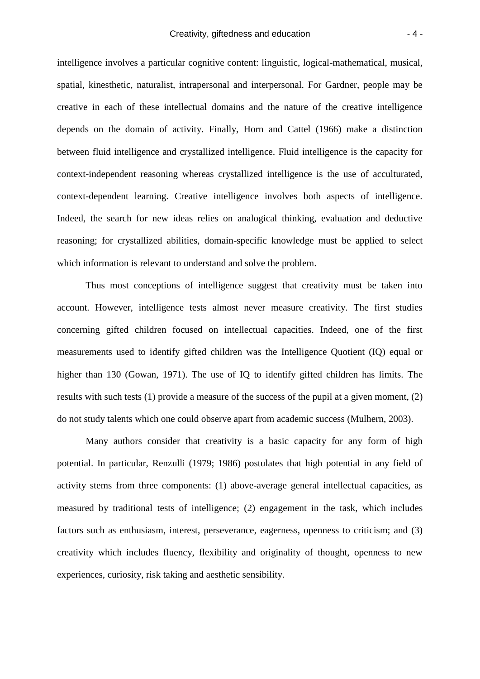intelligence involves a particular cognitive content: linguistic, logical-mathematical, musical, spatial, kinesthetic, naturalist, intrapersonal and interpersonal. For Gardner, people may be creative in each of these intellectual domains and the nature of the creative intelligence depends on the domain of activity. Finally, Horn and Cattel (1966) make a distinction between fluid intelligence and crystallized intelligence. Fluid intelligence is the capacity for context-independent reasoning whereas crystallized intelligence is the use of acculturated, context-dependent learning. Creative intelligence involves both aspects of intelligence. Indeed, the search for new ideas relies on analogical thinking, evaluation and deductive reasoning; for crystallized abilities, domain-specific knowledge must be applied to select which information is relevant to understand and solve the problem.

Thus most conceptions of intelligence suggest that creativity must be taken into account. However, intelligence tests almost never measure creativity. The first studies concerning gifted children focused on intellectual capacities. Indeed, one of the first measurements used to identify gifted children was the Intelligence Quotient (IQ) equal or higher than 130 (Gowan, 1971). The use of IQ to identify gifted children has limits. The results with such tests (1) provide a measure of the success of the pupil at a given moment, (2) do not study talents which one could observe apart from academic success (Mulhern, 2003).

Many authors consider that creativity is a basic capacity for any form of high potential. In particular, Renzulli (1979; 1986) postulates that high potential in any field of activity stems from three components: (1) above-average general intellectual capacities, as measured by traditional tests of intelligence; (2) engagement in the task, which includes factors such as enthusiasm, interest, perseverance, eagerness, openness to criticism; and (3) creativity which includes fluency, flexibility and originality of thought, openness to new experiences, curiosity, risk taking and aesthetic sensibility.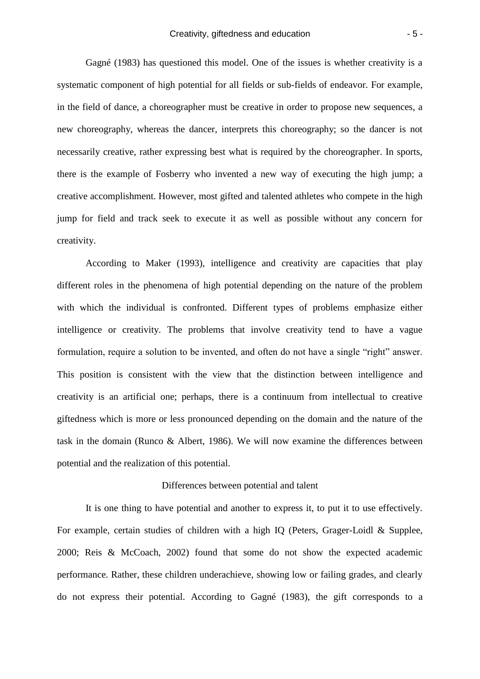Gagné (1983) has questioned this model. One of the issues is whether creativity is a systematic component of high potential for all fields or sub-fields of endeavor. For example, in the field of dance, a choreographer must be creative in order to propose new sequences, a new choreography, whereas the dancer, interprets this choreography; so the dancer is not necessarily creative, rather expressing best what is required by the choreographer. In sports, there is the example of Fosberry who invented a new way of executing the high jump; a creative accomplishment. However, most gifted and talented athletes who compete in the high jump for field and track seek to execute it as well as possible without any concern for creativity.

According to Maker (1993), intelligence and creativity are capacities that play different roles in the phenomena of high potential depending on the nature of the problem with which the individual is confronted. Different types of problems emphasize either intelligence or creativity. The problems that involve creativity tend to have a vague formulation, require a solution to be invented, and often do not have a single "right" answer. This position is consistent with the view that the distinction between intelligence and creativity is an artificial one; perhaps, there is a continuum from intellectual to creative giftedness which is more or less pronounced depending on the domain and the nature of the task in the domain (Runco & Albert, 1986). We will now examine the differences between potential and the realization of this potential.

## Differences between potential and talent

It is one thing to have potential and another to express it, to put it to use effectively. For example, certain studies of children with a high IQ (Peters, Grager-Loidl & Supplee, 2000; Reis & McCoach, 2002) found that some do not show the expected academic performance. Rather, these children underachieve, showing low or failing grades, and clearly do not express their potential. According to Gagné (1983), the gift corresponds to a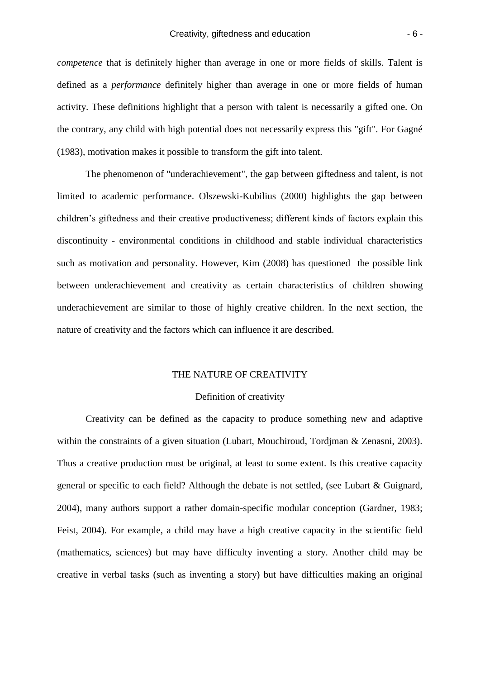*competence* that is definitely higher than average in one or more fields of skills. Talent is defined as a *performance* definitely higher than average in one or more fields of human activity. These definitions highlight that a person with talent is necessarily a gifted one. On the contrary, any child with high potential does not necessarily express this "gift". For Gagné (1983), motivation makes it possible to transform the gift into talent.

The phenomenon of "underachievement", the gap between giftedness and talent, is not limited to academic performance. Olszewski-Kubilius (2000) highlights the gap between children's giftedness and their creative productiveness; different kinds of factors explain this discontinuity - environmental conditions in childhood and stable individual characteristics such as motivation and personality. However, Kim (2008) has questioned the possible link between underachievement and creativity as certain characteristics of children showing underachievement are similar to those of highly creative children. In the next section, the nature of creativity and the factors which can influence it are described.

#### THE NATURE OF CREATIVITY

## Definition of creativity

Creativity can be defined as the capacity to produce something new and adaptive within the constraints of a given situation (Lubart, Mouchiroud, Tordjman & Zenasni, 2003). Thus a creative production must be original, at least to some extent. Is this creative capacity general or specific to each field? Although the debate is not settled, (see Lubart & Guignard, 2004), many authors support a rather domain-specific modular conception (Gardner, 1983; Feist, 2004). For example, a child may have a high creative capacity in the scientific field (mathematics, sciences) but may have difficulty inventing a story. Another child may be creative in verbal tasks (such as inventing a story) but have difficulties making an original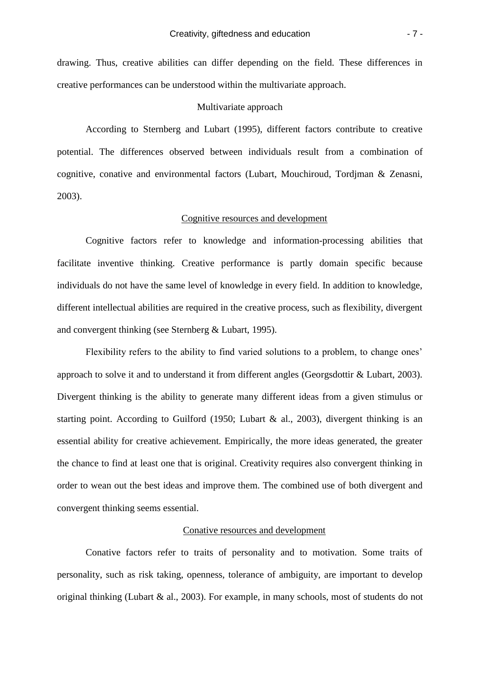drawing. Thus, creative abilities can differ depending on the field. These differences in creative performances can be understood within the multivariate approach.

## Multivariate approach

According to Sternberg and Lubart (1995), different factors contribute to creative potential. The differences observed between individuals result from a combination of cognitive, conative and environmental factors (Lubart, Mouchiroud, Tordjman & Zenasni, 2003).

## Cognitive resources and development

Cognitive factors refer to knowledge and information-processing abilities that facilitate inventive thinking. Creative performance is partly domain specific because individuals do not have the same level of knowledge in every field. In addition to knowledge, different intellectual abilities are required in the creative process, such as flexibility, divergent and convergent thinking (see Sternberg & Lubart, 1995).

Flexibility refers to the ability to find varied solutions to a problem, to change ones' approach to solve it and to understand it from different angles (Georgsdottir & Lubart, 2003). Divergent thinking is the ability to generate many different ideas from a given stimulus or starting point. According to Guilford (1950; Lubart & al., 2003), divergent thinking is an essential ability for creative achievement. Empirically, the more ideas generated, the greater the chance to find at least one that is original. Creativity requires also convergent thinking in order to wean out the best ideas and improve them. The combined use of both divergent and convergent thinking seems essential.

## Conative resources and development

Conative factors refer to traits of personality and to motivation. Some traits of personality, such as risk taking, openness, tolerance of ambiguity, are important to develop original thinking (Lubart & al., 2003). For example, in many schools, most of students do not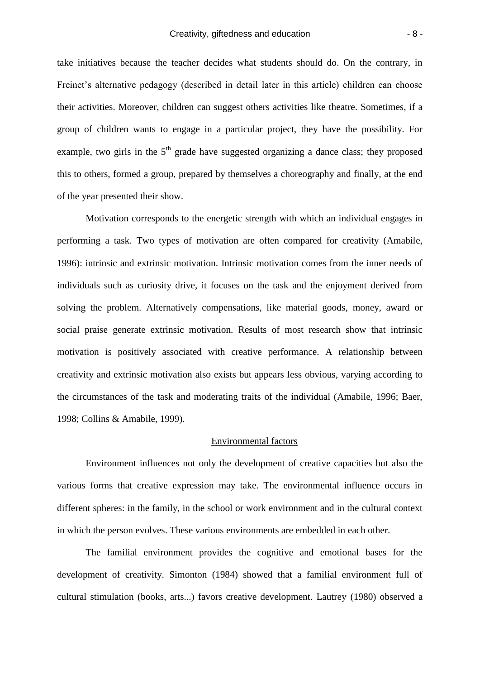take initiatives because the teacher decides what students should do. On the contrary, in Freinet's alternative pedagogy (described in detail later in this article) children can choose their activities. Moreover, children can suggest others activities like theatre. Sometimes, if a group of children wants to engage in a particular project, they have the possibility. For example, two girls in the  $5<sup>th</sup>$  grade have suggested organizing a dance class; they proposed this to others, formed a group, prepared by themselves a choreography and finally, at the end of the year presented their show.

Motivation corresponds to the energetic strength with which an individual engages in performing a task. Two types of motivation are often compared for creativity (Amabile, 1996): intrinsic and extrinsic motivation. Intrinsic motivation comes from the inner needs of individuals such as curiosity drive, it focuses on the task and the enjoyment derived from solving the problem. Alternatively compensations, like material goods, money, award or social praise generate extrinsic motivation. Results of most research show that intrinsic motivation is positively associated with creative performance. A relationship between creativity and extrinsic motivation also exists but appears less obvious, varying according to the circumstances of the task and moderating traits of the individual (Amabile, 1996; Baer, 1998; Collins & Amabile, 1999).

## Environmental factors

Environment influences not only the development of creative capacities but also the various forms that creative expression may take. The environmental influence occurs in different spheres: in the family, in the school or work environment and in the cultural context in which the person evolves. These various environments are embedded in each other.

The familial environment provides the cognitive and emotional bases for the development of creativity. Simonton (1984) showed that a familial environment full of cultural stimulation (books, arts...) favors creative development. Lautrey (1980) observed a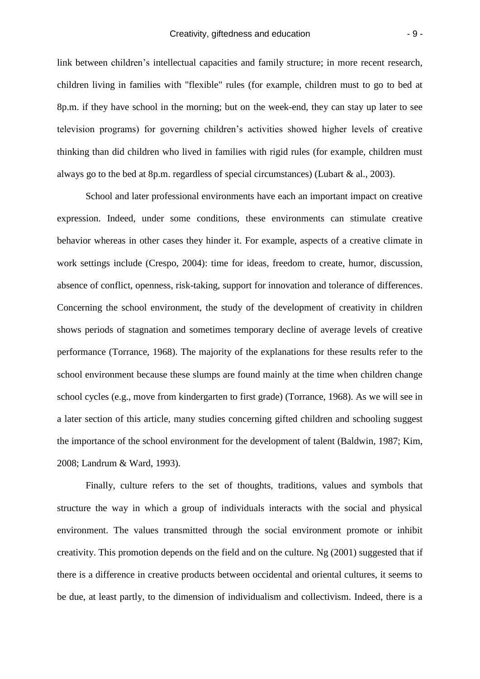link between children's intellectual capacities and family structure; in more recent research, children living in families with "flexible" rules (for example, children must to go to bed at 8p.m. if they have school in the morning; but on the week-end, they can stay up later to see television programs) for governing children's activities showed higher levels of creative thinking than did children who lived in families with rigid rules (for example, children must always go to the bed at 8p.m. regardless of special circumstances) (Lubart & al., 2003).

School and later professional environments have each an important impact on creative expression. Indeed, under some conditions, these environments can stimulate creative behavior whereas in other cases they hinder it. For example, aspects of a creative climate in work settings include (Crespo, 2004): time for ideas, freedom to create, humor, discussion, absence of conflict, openness, risk-taking, support for innovation and tolerance of differences. Concerning the school environment, the study of the development of creativity in children shows periods of stagnation and sometimes temporary decline of average levels of creative performance (Torrance, 1968). The majority of the explanations for these results refer to the school environment because these slumps are found mainly at the time when children change school cycles (e.g., move from kindergarten to first grade) (Torrance, 1968). As we will see in a later section of this article, many studies concerning gifted children and schooling suggest the importance of the school environment for the development of talent (Baldwin, 1987; Kim, 2008; Landrum & Ward, 1993).

Finally, culture refers to the set of thoughts, traditions, values and symbols that structure the way in which a group of individuals interacts with the social and physical environment. The values transmitted through the social environment promote or inhibit creativity. This promotion depends on the field and on the culture. Ng (2001) suggested that if there is a difference in creative products between occidental and oriental cultures, it seems to be due, at least partly, to the dimension of individualism and collectivism. Indeed, there is a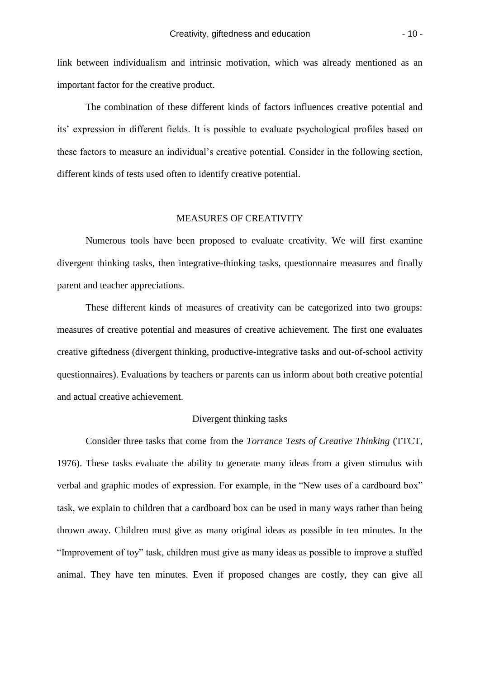link between individualism and intrinsic motivation, which was already mentioned as an important factor for the creative product.

The combination of these different kinds of factors influences creative potential and its' expression in different fields. It is possible to evaluate psychological profiles based on these factors to measure an individual's creative potential. Consider in the following section, different kinds of tests used often to identify creative potential.

## MEASURES OF CREATIVITY

Numerous tools have been proposed to evaluate creativity. We will first examine divergent thinking tasks, then integrative-thinking tasks, questionnaire measures and finally parent and teacher appreciations.

These different kinds of measures of creativity can be categorized into two groups: measures of creative potential and measures of creative achievement. The first one evaluates creative giftedness (divergent thinking, productive-integrative tasks and out-of-school activity questionnaires). Evaluations by teachers or parents can us inform about both creative potential and actual creative achievement.

## Divergent thinking tasks

Consider three tasks that come from the *Torrance Tests of Creative Thinking* (TTCT, 1976). These tasks evaluate the ability to generate many ideas from a given stimulus with verbal and graphic modes of expression. For example, in the "New uses of a cardboard box" task, we explain to children that a cardboard box can be used in many ways rather than being thrown away. Children must give as many original ideas as possible in ten minutes. In the "Improvement of toy" task, children must give as many ideas as possible to improve a stuffed animal. They have ten minutes. Even if proposed changes are costly, they can give all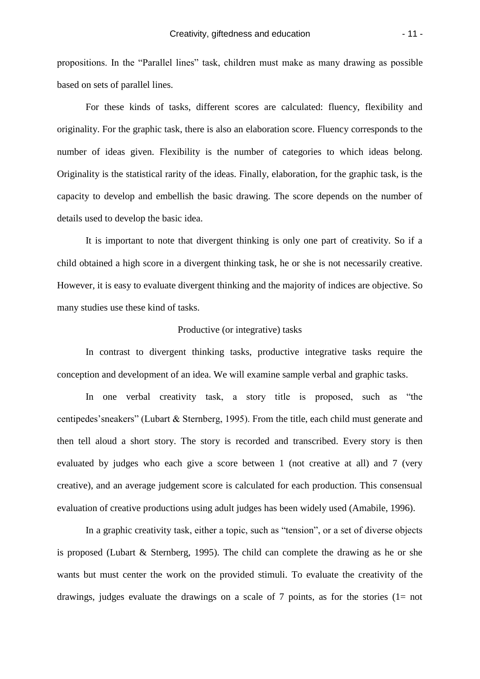propositions. In the "Parallel lines" task, children must make as many drawing as possible based on sets of parallel lines.

For these kinds of tasks, different scores are calculated: fluency, flexibility and originality. For the graphic task, there is also an elaboration score. Fluency corresponds to the number of ideas given. Flexibility is the number of categories to which ideas belong. Originality is the statistical rarity of the ideas. Finally, elaboration, for the graphic task, is the capacity to develop and embellish the basic drawing. The score depends on the number of details used to develop the basic idea.

It is important to note that divergent thinking is only one part of creativity. So if a child obtained a high score in a divergent thinking task, he or she is not necessarily creative. However, it is easy to evaluate divergent thinking and the majority of indices are objective. So many studies use these kind of tasks.

## Productive (or integrative) tasks

In contrast to divergent thinking tasks, productive integrative tasks require the conception and development of an idea. We will examine sample verbal and graphic tasks.

In one verbal creativity task, a story title is proposed, such as "the centipedes'sneakers" (Lubart & Sternberg, 1995). From the title, each child must generate and then tell aloud a short story. The story is recorded and transcribed. Every story is then evaluated by judges who each give a score between 1 (not creative at all) and 7 (very creative), and an average judgement score is calculated for each production. This consensual evaluation of creative productions using adult judges has been widely used (Amabile, 1996).

In a graphic creativity task, either a topic, such as "tension", or a set of diverse objects is proposed (Lubart & Sternberg, 1995). The child can complete the drawing as he or she wants but must center the work on the provided stimuli. To evaluate the creativity of the drawings, judges evaluate the drawings on a scale of 7 points, as for the stories  $(1=$  not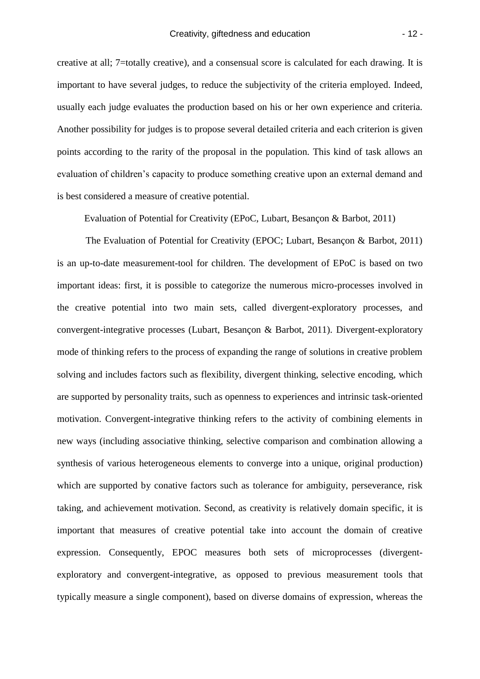creative at all; 7=totally creative), and a consensual score is calculated for each drawing. It is important to have several judges, to reduce the subjectivity of the criteria employed. Indeed, usually each judge evaluates the production based on his or her own experience and criteria. Another possibility for judges is to propose several detailed criteria and each criterion is given points according to the rarity of the proposal in the population. This kind of task allows an evaluation of children's capacity to produce something creative upon an external demand and is best considered a measure of creative potential.

Evaluation of Potential for Creativity (EPoC, Lubart, Besançon & Barbot, 2011)

The Evaluation of Potential for Creativity (EPOC; Lubart, Besançon & Barbot, 2011) is an up-to-date measurement-tool for children. The development of EPoC is based on two important ideas: first, it is possible to categorize the numerous micro-processes involved in the creative potential into two main sets, called divergent-exploratory processes, and convergent-integrative processes (Lubart, Besançon & Barbot, 2011). Divergent-exploratory mode of thinking refers to the process of expanding the range of solutions in creative problem solving and includes factors such as flexibility, divergent thinking, selective encoding, which are supported by personality traits, such as openness to experiences and intrinsic task-oriented motivation. Convergent-integrative thinking refers to the activity of combining elements in new ways (including associative thinking, selective comparison and combination allowing a synthesis of various heterogeneous elements to converge into a unique, original production) which are supported by conative factors such as tolerance for ambiguity, perseverance, risk taking, and achievement motivation. Second, as creativity is relatively domain specific, it is important that measures of creative potential take into account the domain of creative expression. Consequently, EPOC measures both sets of microprocesses (divergentexploratory and convergent-integrative, as opposed to previous measurement tools that typically measure a single component), based on diverse domains of expression, whereas the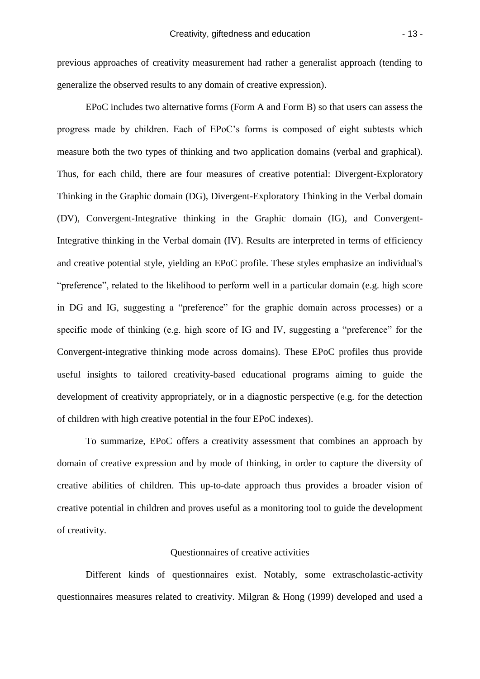previous approaches of creativity measurement had rather a generalist approach (tending to generalize the observed results to any domain of creative expression).

EPoC includes two alternative forms (Form A and Form B) so that users can assess the progress made by children. Each of EPoC's forms is composed of eight subtests which measure both the two types of thinking and two application domains (verbal and graphical). Thus, for each child, there are four measures of creative potential: Divergent-Exploratory Thinking in the Graphic domain (DG), Divergent-Exploratory Thinking in the Verbal domain (DV), Convergent-Integrative thinking in the Graphic domain (IG), and Convergent-Integrative thinking in the Verbal domain (IV). Results are interpreted in terms of efficiency and creative potential style, yielding an EPoC profile. These styles emphasize an individual's "preference", related to the likelihood to perform well in a particular domain (e.g. high score in DG and IG, suggesting a "preference" for the graphic domain across processes) or a specific mode of thinking (e.g. high score of IG and IV, suggesting a "preference" for the Convergent-integrative thinking mode across domains). These EPoC profiles thus provide useful insights to tailored creativity-based educational programs aiming to guide the development of creativity appropriately, or in a diagnostic perspective (e.g. for the detection of children with high creative potential in the four EPoC indexes).

To summarize, EPoC offers a creativity assessment that combines an approach by domain of creative expression and by mode of thinking, in order to capture the diversity of creative abilities of children. This up-to-date approach thus provides a broader vision of creative potential in children and proves useful as a monitoring tool to guide the development of creativity.

#### Questionnaires of creative activities

Different kinds of questionnaires exist. Notably, some extrascholastic-activity questionnaires measures related to creativity. Milgran & Hong (1999) developed and used a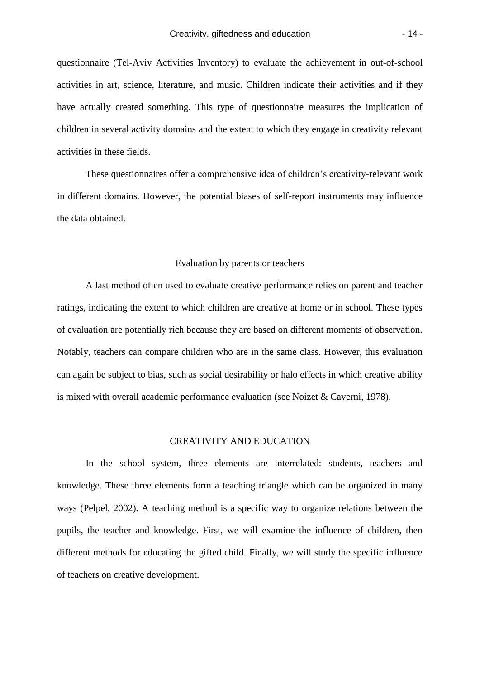questionnaire (Tel-Aviv Activities Inventory) to evaluate the achievement in out-of-school activities in art, science, literature, and music. Children indicate their activities and if they have actually created something. This type of questionnaire measures the implication of children in several activity domains and the extent to which they engage in creativity relevant activities in these fields.

These questionnaires offer a comprehensive idea of children's creativity-relevant work in different domains. However, the potential biases of self-report instruments may influence the data obtained.

## Evaluation by parents or teachers

A last method often used to evaluate creative performance relies on parent and teacher ratings, indicating the extent to which children are creative at home or in school. These types of evaluation are potentially rich because they are based on different moments of observation. Notably, teachers can compare children who are in the same class. However, this evaluation can again be subject to bias, such as social desirability or halo effects in which creative ability is mixed with overall academic performance evaluation (see Noizet & Caverni, 1978).

## CREATIVITY AND EDUCATION

In the school system, three elements are interrelated: students, teachers and knowledge. These three elements form a teaching triangle which can be organized in many ways (Pelpel, 2002). A teaching method is a specific way to organize relations between the pupils, the teacher and knowledge. First, we will examine the influence of children, then different methods for educating the gifted child. Finally, we will study the specific influence of teachers on creative development.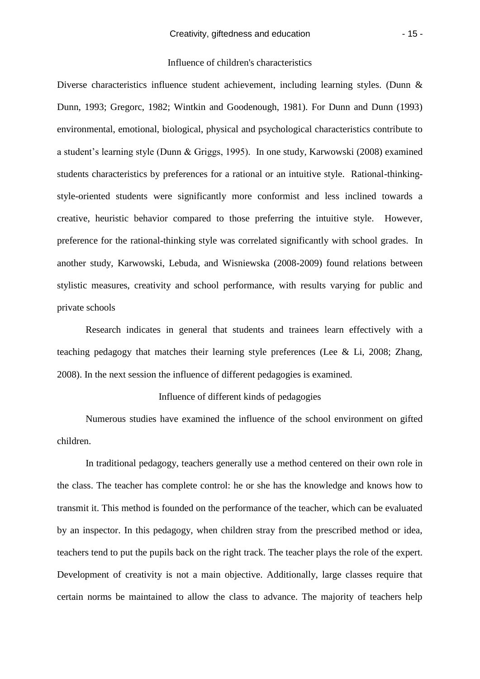## Influence of children's characteristics

Diverse characteristics influence student achievement, including learning styles. (Dunn & Dunn, 1993; Gregorc, 1982; Wintkin and Goodenough, 1981). For Dunn and Dunn (1993) environmental, emotional, biological, physical and psychological characteristics contribute to a student's learning style (Dunn & Griggs, 1995). In one study, Karwowski (2008) examined students characteristics by preferences for a rational or an intuitive style. Rational-thinkingstyle-oriented students were significantly more conformist and less inclined towards a creative, heuristic behavior compared to those preferring the intuitive style. However, preference for the rational-thinking style was correlated significantly with school grades. In another study, Karwowski, Lebuda, and Wisniewska (2008-2009) found relations between stylistic measures, creativity and school performance, with results varying for public and private schools

Research indicates in general that students and trainees learn effectively with a teaching pedagogy that matches their learning style preferences (Lee & Li, 2008; Zhang, 2008). In the next session the influence of different pedagogies is examined.

#### Influence of different kinds of pedagogies

Numerous studies have examined the influence of the school environment on gifted children.

In traditional pedagogy, teachers generally use a method centered on their own role in the class. The teacher has complete control: he or she has the knowledge and knows how to transmit it. This method is founded on the performance of the teacher, which can be evaluated by an inspector. In this pedagogy, when children stray from the prescribed method or idea, teachers tend to put the pupils back on the right track. The teacher plays the role of the expert. Development of creativity is not a main objective. Additionally, large classes require that certain norms be maintained to allow the class to advance. The majority of teachers help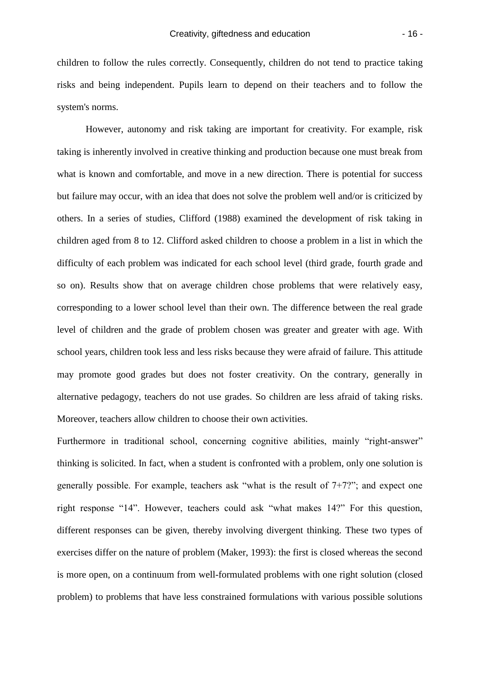children to follow the rules correctly. Consequently, children do not tend to practice taking risks and being independent. Pupils learn to depend on their teachers and to follow the system's norms.

However, autonomy and risk taking are important for creativity. For example, risk taking is inherently involved in creative thinking and production because one must break from what is known and comfortable, and move in a new direction. There is potential for success but failure may occur, with an idea that does not solve the problem well and/or is criticized by others. In a series of studies, Clifford (1988) examined the development of risk taking in children aged from 8 to 12. Clifford asked children to choose a problem in a list in which the difficulty of each problem was indicated for each school level (third grade, fourth grade and so on). Results show that on average children chose problems that were relatively easy, corresponding to a lower school level than their own. The difference between the real grade level of children and the grade of problem chosen was greater and greater with age. With school years, children took less and less risks because they were afraid of failure. This attitude may promote good grades but does not foster creativity. On the contrary, generally in alternative pedagogy, teachers do not use grades. So children are less afraid of taking risks. Moreover, teachers allow children to choose their own activities.

Furthermore in traditional school, concerning cognitive abilities, mainly "right-answer" thinking is solicited. In fact, when a student is confronted with a problem, only one solution is generally possible. For example, teachers ask "what is the result of 7+7?"; and expect one right response "14". However, teachers could ask "what makes 14?" For this question, different responses can be given, thereby involving divergent thinking. These two types of exercises differ on the nature of problem (Maker, 1993): the first is closed whereas the second is more open, on a continuum from well-formulated problems with one right solution (closed problem) to problems that have less constrained formulations with various possible solutions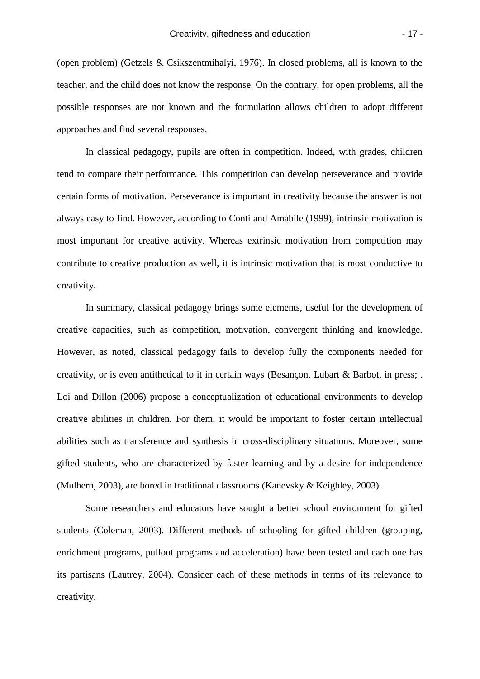(open problem) (Getzels & Csikszentmihalyi, 1976). In closed problems, all is known to the teacher, and the child does not know the response. On the contrary, for open problems, all the possible responses are not known and the formulation allows children to adopt different approaches and find several responses.

In classical pedagogy, pupils are often in competition. Indeed, with grades, children tend to compare their performance. This competition can develop perseverance and provide certain forms of motivation. Perseverance is important in creativity because the answer is not always easy to find. However, according to Conti and Amabile (1999), intrinsic motivation is most important for creative activity. Whereas extrinsic motivation from competition may contribute to creative production as well, it is intrinsic motivation that is most conductive to creativity.

In summary, classical pedagogy brings some elements, useful for the development of creative capacities, such as competition, motivation, convergent thinking and knowledge. However, as noted, classical pedagogy fails to develop fully the components needed for creativity, or is even antithetical to it in certain ways (Besançon, Lubart & Barbot, in press; . Loi and Dillon (2006) propose a conceptualization of educational environments to develop creative abilities in children. For them, it would be important to foster certain intellectual abilities such as transference and synthesis in cross-disciplinary situations. Moreover, some gifted students, who are characterized by faster learning and by a desire for independence (Mulhern, 2003), are bored in traditional classrooms (Kanevsky & Keighley, 2003).

Some researchers and educators have sought a better school environment for gifted students (Coleman, 2003). Different methods of schooling for gifted children (grouping, enrichment programs, pullout programs and acceleration) have been tested and each one has its partisans (Lautrey, 2004). Consider each of these methods in terms of its relevance to creativity.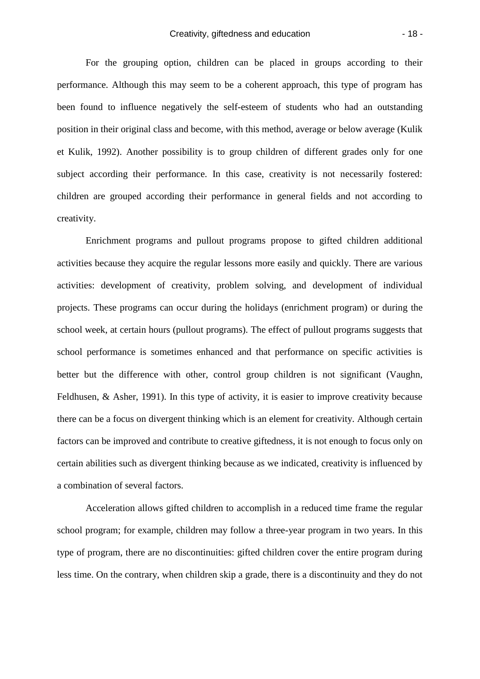For the grouping option, children can be placed in groups according to their performance. Although this may seem to be a coherent approach, this type of program has been found to influence negatively the self-esteem of students who had an outstanding position in their original class and become, with this method, average or below average (Kulik et Kulik, 1992). Another possibility is to group children of different grades only for one subject according their performance. In this case, creativity is not necessarily fostered: children are grouped according their performance in general fields and not according to creativity.

Enrichment programs and pullout programs propose to gifted children additional activities because they acquire the regular lessons more easily and quickly. There are various activities: development of creativity, problem solving, and development of individual projects. These programs can occur during the holidays (enrichment program) or during the school week, at certain hours (pullout programs). The effect of pullout programs suggests that school performance is sometimes enhanced and that performance on specific activities is better but the difference with other, control group children is not significant (Vaughn, Feldhusen, & Asher, 1991). In this type of activity, it is easier to improve creativity because there can be a focus on divergent thinking which is an element for creativity. Although certain factors can be improved and contribute to creative giftedness, it is not enough to focus only on certain abilities such as divergent thinking because as we indicated, creativity is influenced by a combination of several factors.

Acceleration allows gifted children to accomplish in a reduced time frame the regular school program; for example, children may follow a three-year program in two years. In this type of program, there are no discontinuities: gifted children cover the entire program during less time. On the contrary, when children skip a grade, there is a discontinuity and they do not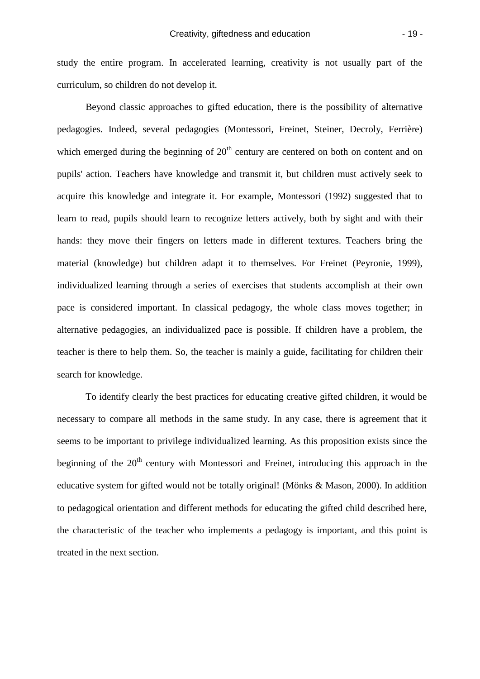study the entire program. In accelerated learning, creativity is not usually part of the curriculum, so children do not develop it.

Beyond classic approaches to gifted education, there is the possibility of alternative pedagogies. Indeed, several pedagogies (Montessori, Freinet, Steiner, Decroly, Ferrière) which emerged during the beginning of  $20<sup>th</sup>$  century are centered on both on content and on pupils' action. Teachers have knowledge and transmit it, but children must actively seek to acquire this knowledge and integrate it. For example, Montessori (1992) suggested that to learn to read, pupils should learn to recognize letters actively, both by sight and with their hands: they move their fingers on letters made in different textures. Teachers bring the material (knowledge) but children adapt it to themselves. For Freinet (Peyronie, 1999), individualized learning through a series of exercises that students accomplish at their own pace is considered important. In classical pedagogy, the whole class moves together; in alternative pedagogies, an individualized pace is possible. If children have a problem, the teacher is there to help them. So, the teacher is mainly a guide, facilitating for children their search for knowledge.

To identify clearly the best practices for educating creative gifted children, it would be necessary to compare all methods in the same study. In any case, there is agreement that it seems to be important to privilege individualized learning. As this proposition exists since the beginning of the  $20<sup>th</sup>$  century with Montessori and Freinet, introducing this approach in the educative system for gifted would not be totally original! (Mönks & Mason, 2000). In addition to pedagogical orientation and different methods for educating the gifted child described here, the characteristic of the teacher who implements a pedagogy is important, and this point is treated in the next section.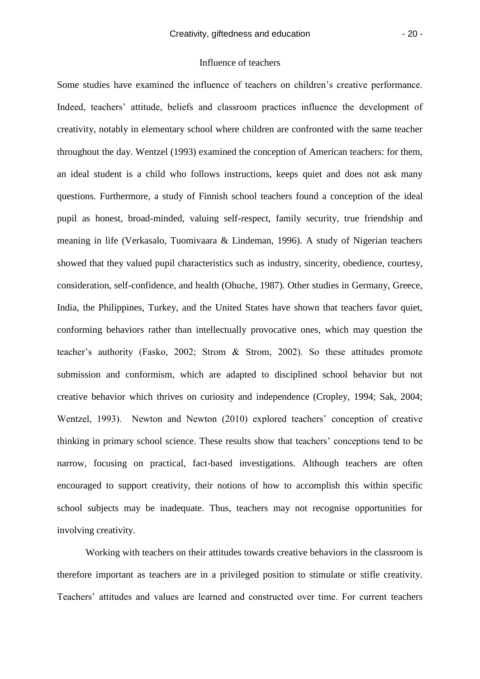## Influence of teachers

Some studies have examined the influence of teachers on children's creative performance. Indeed, teachers' attitude, beliefs and classroom practices influence the development of creativity, notably in elementary school where children are confronted with the same teacher throughout the day. Wentzel (1993) examined the conception of American teachers: for them, an ideal student is a child who follows instructions, keeps quiet and does not ask many questions. Furthermore, a study of Finnish school teachers found a conception of the ideal pupil as honest, broad-minded, valuing self-respect, family security, true friendship and meaning in life (Verkasalo, Tuomivaara & Lindeman, 1996). A study of Nigerian teachers showed that they valued pupil characteristics such as industry, sincerity, obedience, courtesy, consideration, self-confidence, and health (Ohuche, 1987). Other studies in Germany, Greece, India, the Philippines, Turkey, and the United States have shown that teachers favor quiet, conforming behaviors rather than intellectually provocative ones, which may question the teacher's authority (Fasko, 2002; Strom & Strom, 2002). So these attitudes promote submission and conformism, which are adapted to disciplined school behavior but not creative behavior which thrives on curiosity and independence (Cropley, 1994; Sak, 2004; Wentzel, 1993). Newton and Newton (2010) explored teachers' conception of creative thinking in primary school science. These results show that teachers' conceptions tend to be narrow, focusing on practical, fact-based investigations. Although teachers are often encouraged to support creativity, their notions of how to accomplish this within specific school subjects may be inadequate. Thus, teachers may not recognise opportunities for involving creativity.

Working with teachers on their attitudes towards creative behaviors in the classroom is therefore important as teachers are in a privileged position to stimulate or stifle creativity. Teachers' attitudes and values are learned and constructed over time. For current teachers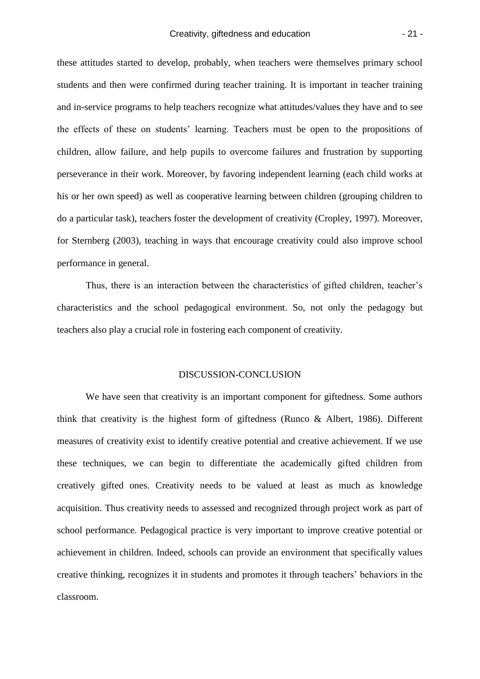these attitudes started to develop, probably, when teachers were themselves primary school students and then were confirmed during teacher training. It is important in teacher training and in-service programs to help teachers recognize what attitudes/values they have and to see the effects of these on students' learning. Teachers must be open to the propositions of children, allow failure, and help pupils to overcome failures and frustration by supporting perseverance in their work. Moreover, by favoring independent learning (each child works at his or her own speed) as well as cooperative learning between children (grouping children to do a particular task), teachers foster the development of creativity (Cropley, 1997). Moreover, for Sternberg (2003), teaching in ways that encourage creativity could also improve school performance in general.

Thus, there is an interaction between the characteristics of gifted children, teacher's characteristics and the school pedagogical environment. So, not only the pedagogy but teachers also play a crucial role in fostering each component of creativity.

#### DISCUSSION-CONCLUSION

We have seen that creativity is an important component for giftedness. Some authors think that creativity is the highest form of giftedness (Runco & Albert, 1986). Different measures of creativity exist to identify creative potential and creative achievement. If we use these techniques, we can begin to differentiate the academically gifted children from creatively gifted ones. Creativity needs to be valued at least as much as knowledge acquisition. Thus creativity needs to assessed and recognized through project work as part of school performance. Pedagogical practice is very important to improve creative potential or achievement in children. Indeed, schools can provide an environment that specifically values creative thinking, recognizes it in students and promotes it through teachers' behaviors in the classroom.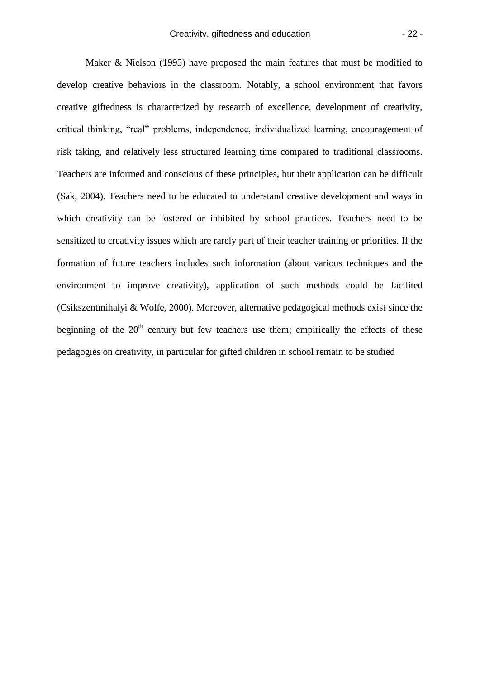Maker & Nielson (1995) have proposed the main features that must be modified to develop creative behaviors in the classroom. Notably, a school environment that favors creative giftedness is characterized by research of excellence, development of creativity, critical thinking, "real" problems, independence, individualized learning, encouragement of risk taking, and relatively less structured learning time compared to traditional classrooms. Teachers are informed and conscious of these principles, but their application can be difficult (Sak, 2004). Teachers need to be educated to understand creative development and ways in which creativity can be fostered or inhibited by school practices. Teachers need to be sensitized to creativity issues which are rarely part of their teacher training or priorities. If the formation of future teachers includes such information (about various techniques and the environment to improve creativity), application of such methods could be facilited (Csikszentmihalyi & Wolfe, 2000). Moreover, alternative pedagogical methods exist since the beginning of the  $20<sup>th</sup>$  century but few teachers use them; empirically the effects of these pedagogies on creativity, in particular for gifted children in school remain to be studied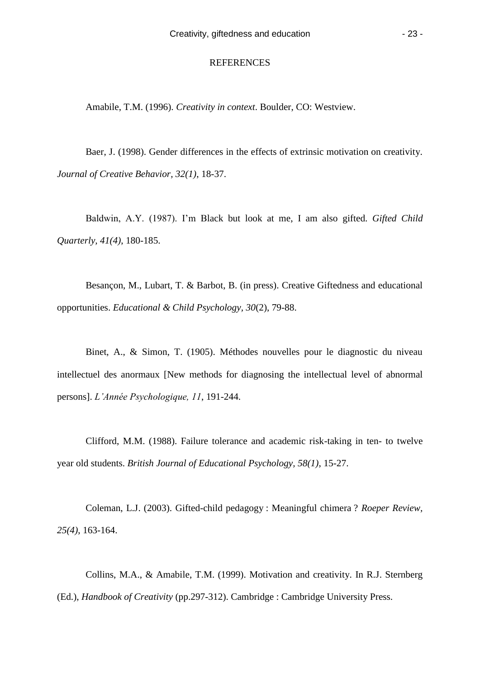#### REFERENCES

Amabile, T.M. (1996). *Creativity in context*. Boulder, CO: Westview.

Baer, J. (1998). Gender differences in the effects of extrinsic motivation on creativity. *Journal of Creative Behavior, 32(1)*, 18-37.

Baldwin, A.Y. (1987). I'm Black but look at me, I am also gifted. *Gifted Child Quarterly, 41(4)*, 180-185.

Besançon, M., Lubart, T. & Barbot, B. (in press). Creative Giftedness and educational opportunities. *Educational & Child Psychology, 30*(2), 79-88.

Binet, A., & Simon, T. (1905). Méthodes nouvelles pour le diagnostic du niveau intellectuel des anormaux [New methods for diagnosing the intellectual level of abnormal persons]. *L'Année Psychologique, 11*, 191-244.

Clifford, M.M. (1988). Failure tolerance and academic risk-taking in ten- to twelve year old students. *British Journal of Educational Psychology, 58(1)*, 15-27.

Coleman, L.J. (2003). Gifted-child pedagogy : Meaningful chimera ? *Roeper Review, 25(4)*, 163-164.

Collins, M.A., & Amabile, T.M. (1999). Motivation and creativity. In R.J. Sternberg (Ed.), *Handbook of Creativity* (pp.297-312). Cambridge : Cambridge University Press.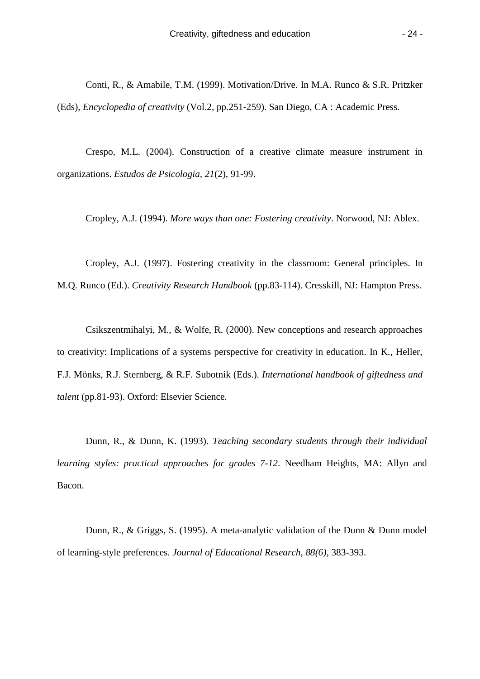Conti, R., & Amabile, T.M. (1999). Motivation/Drive. In M.A. Runco & S.R. Pritzker (Eds), *Encyclopedia of creativity* (Vol.2, pp.251-259). San Diego, CA : Academic Press.

Crespo, M.L. (2004). Construction of a creative climate measure instrument in organizations. *Estudos de Psicologia, 21*(2), 91-99.

Cropley, A.J. (1994). *More ways than one: Fostering creativity*. Norwood, NJ: Ablex.

Cropley, A.J. (1997). Fostering creativity in the classroom: General principles. In M.Q. Runco (Ed.). *Creativity Research Handbook* (pp.83-114). Cresskill, NJ: Hampton Press.

Csikszentmihalyi, M., & Wolfe, R. (2000). New conceptions and research approaches to creativity: Implications of a systems perspective for creativity in education. In K., Heller, F.J. Mönks, R.J. Sternberg, & R.F. Subotnik (Eds.). *International handbook of giftedness and talent* (pp.81-93). Oxford: Elsevier Science.

Dunn, R., & Dunn, K. (1993). *Teaching secondary students through their individual learning styles: practical approaches for grades 7-12*. Needham Heights, MA: Allyn and Bacon.

Dunn, R., & Griggs, S. (1995). A meta-analytic validation of the Dunn & Dunn model of learning-style preferences. *Journal of Educational Research, 88(6)*, 383-393.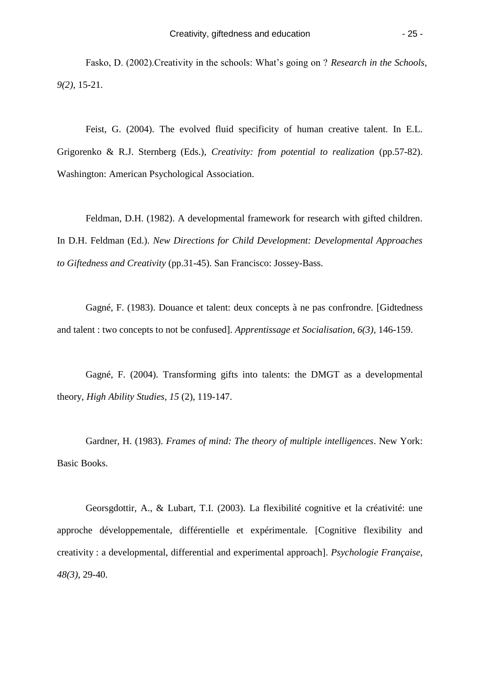Fasko, D. (2002).Creativity in the schools: What's going on ? *Research in the Schools, 9(2)*, 15-21.

Feist, G. (2004). The evolved fluid specificity of human creative talent. In E.L. Grigorenko & R.J. Sternberg (Eds.), *Creativity: from potential to realization* (pp.57-82). Washington: American Psychological Association.

Feldman, D.H. (1982). A developmental framework for research with gifted children. In D.H. Feldman (Ed.). *New Directions for Child Development: Developmental Approaches to Giftedness and Creativity* (pp.31-45). San Francisco: Jossey-Bass.

Gagné, F. (1983). Douance et talent: deux concepts à ne pas confrondre. [Gidtedness and talent : two concepts to not be confused]. *Apprentissage et Socialisation, 6(3)*, 146-159.

Gagné, F. (2004). Transforming gifts into talents: the DMGT as a developmental theory, *High Ability Studies, 15* (2), 119-147.

Gardner, H. (1983). *Frames of mind: The theory of multiple intelligences*. New York: Basic Books.

Georsgdottir, A., & Lubart, T.I. (2003). La flexibilité cognitive et la créativité: une approche développementale, différentielle et expérimentale. [Cognitive flexibility and creativity : a developmental, differential and experimental approach]. *Psychologie Française, 48(3)*, 29-40.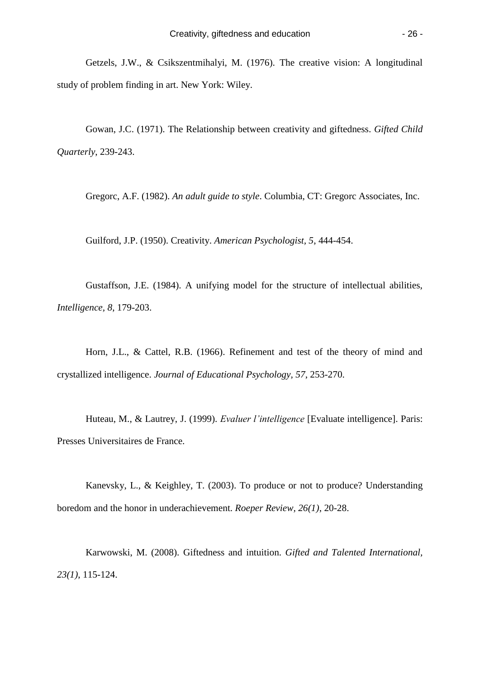Getzels, J.W., & Csikszentmihalyi, M. (1976). The creative vision: A longitudinal study of problem finding in art. New York: Wiley.

Gowan, J.C. (1971). The Relationship between creativity and giftedness. *Gifted Child Quarterly*, 239-243.

Gregorc, A.F. (1982). *An adult guide to style*. Columbia, CT: Gregorc Associates, Inc.

Guilford, J.P. (1950). Creativity. *American Psychologist, 5*, 444-454.

Gustaffson, J.E. (1984). A unifying model for the structure of intellectual abilities, *Intelligence, 8*, 179-203.

Horn, J.L., & Cattel, R.B. (1966). Refinement and test of the theory of mind and crystallized intelligence. *Journal of Educational Psychology, 57*, 253-270.

Huteau, M., & Lautrey, J. (1999). *Evaluer l'intelligence* [Evaluate intelligence]. Paris: Presses Universitaires de France.

Kanevsky, L., & Keighley, T. (2003). To produce or not to produce? Understanding boredom and the honor in underachievement. *Roeper Review, 26(1)*, 20-28.

Karwowski, M. (2008). Giftedness and intuition. *Gifted and Talented International, 23(1)*, 115-124.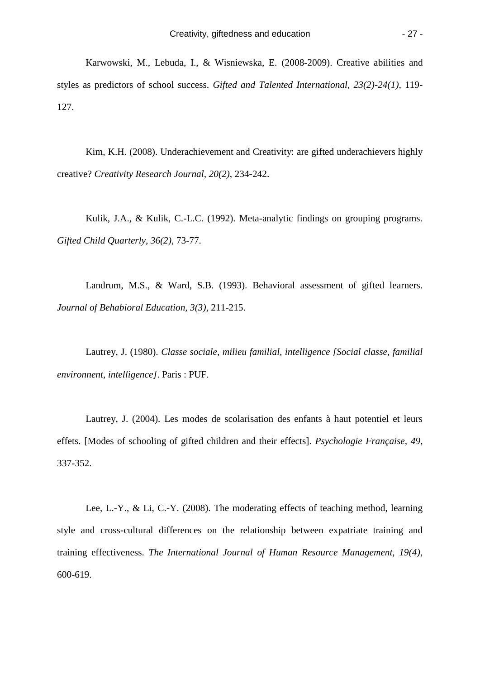Karwowski, M., Lebuda, I., & Wisniewska, E. (2008-2009). Creative abilities and styles as predictors of school success. *Gifted and Talented International, 23(2)-24(1)*, 119- 127.

Kim, K.H. (2008). Underachievement and Creativity: are gifted underachievers highly creative? *Creativity Research Journal, 20(2)*, 234-242.

Kulik, J.A., & Kulik, C.-L.C. (1992). Meta-analytic findings on grouping programs. *Gifted Child Quarterly, 36(2)*, 73-77.

Landrum, M.S., & Ward, S.B. (1993). Behavioral assessment of gifted learners. *Journal of Behabioral Education, 3(3)*, 211-215.

Lautrey, J. (1980). *Classe sociale, milieu familial, intelligence [Social classe, familial environnent, intelligence]*. Paris : PUF.

Lautrey, J. (2004). Les modes de scolarisation des enfants à haut potentiel et leurs effets. [Modes of schooling of gifted children and their effects]. *Psychologie Française, 49*, 337-352.

Lee, L.-Y., & Li, C.-Y. (2008). [The moderating effects of teaching method, learning](https://frodon.univ-paris5.fr/http/ehis.ebscohost.com/ehost/viewarticle?data=dGJyMPPp44rp2%2FdV0%2Bnjisfk5Ie46bdIr66vTLCk63nn5Kx95uXxjL6qrUqupbBIr6ieS7intVKvrJ5Zy5zyit%2Fk8Xnh6ueH7N%2FiVauvsU2xprZMt6ykhN%2Fk5VXk6KR84LPui%2FfepIzf3btZzJzfhruorki2o65Ntq2wRa6mtD7k5fCF3%2Bq7fvPi6ozj7vIA&hid=3)  [style and cross-cultural differences on the relationship between expatriate training and](https://frodon.univ-paris5.fr/http/ehis.ebscohost.com/ehost/viewarticle?data=dGJyMPPp44rp2%2FdV0%2Bnjisfk5Ie46bdIr66vTLCk63nn5Kx95uXxjL6qrUqupbBIr6ieS7intVKvrJ5Zy5zyit%2Fk8Xnh6ueH7N%2FiVauvsU2xprZMt6ykhN%2Fk5VXk6KR84LPui%2FfepIzf3btZzJzfhruorki2o65Ntq2wRa6mtD7k5fCF3%2Bq7fvPi6ozj7vIA&hid=3)  [training effectiveness.](https://frodon.univ-paris5.fr/http/ehis.ebscohost.com/ehost/viewarticle?data=dGJyMPPp44rp2%2FdV0%2Bnjisfk5Ie46bdIr66vTLCk63nn5Kx95uXxjL6qrUqupbBIr6ieS7intVKvrJ5Zy5zyit%2Fk8Xnh6ueH7N%2FiVauvsU2xprZMt6ykhN%2Fk5VXk6KR84LPui%2FfepIzf3btZzJzfhruorki2o65Ntq2wRa6mtD7k5fCF3%2Bq7fvPi6ozj7vIA&hid=3) *The International Journal of Human Resource Management, 19(4)*, 600-619.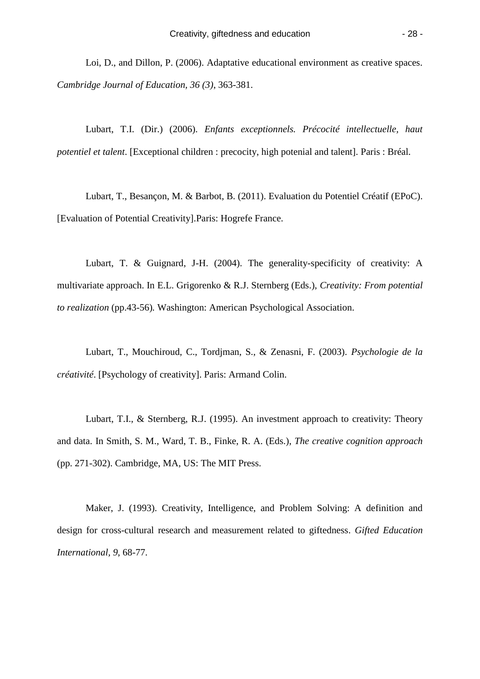Loi, D., and Dillon, P. (2006). Adaptative educational environment as creative spaces. *Cambridge Journal of Education, 36 (3)*, 363-381.

Lubart, T.I. (Dir.) (2006). *Enfants exceptionnels. Précocité intellectuelle, haut potentiel et talent*. [Exceptional children : precocity, high potenial and talent]. Paris : Bréal.

Lubart, T., Besançon, M. & Barbot, B. (2011). Evaluation du Potentiel Créatif (EPoC). [Evaluation of Potential Creativity].Paris: Hogrefe France.

Lubart, T. & Guignard, J-H. (2004). The generality-specificity of creativity: A multivariate approach. In E.L. Grigorenko & R.J. Sternberg (Eds.), *Creativity: From potential to realization* (pp.43-56)*.* Washington: American Psychological Association.

Lubart, T., Mouchiroud, C., Tordjman, S., & Zenasni, F. (2003). *Psychologie de la créativité*. [Psychology of creativity]. Paris: Armand Colin.

Lubart, T.I., & Sternberg, R.J. (1995). [An investment approach to creativity: Theory](https://frodon.univ-paris5.fr/http/ehis.ebscohost.com/ehost/viewarticle?data=dGJyMPPp44rp2%2FdV0%2Bnjisfk5Ie46bdIr66vTLCk63nn5Kx95uXxjL6qrUqupbBIr6ieS7intVKvrJ5Zy5zyit%2Fk8Xnh6ueH7N%2FiVauvsU2xprZMt6ykhN%2Fk5VXk6KR84LPui%2FfepIzf3btZzJzfhrunt1Gzo7dPs6mxRa6nsD7k5fCF3%2Bq7fvPi6ozj7vIA&hid=3)  [and data.](https://frodon.univ-paris5.fr/http/ehis.ebscohost.com/ehost/viewarticle?data=dGJyMPPp44rp2%2FdV0%2Bnjisfk5Ie46bdIr66vTLCk63nn5Kx95uXxjL6qrUqupbBIr6ieS7intVKvrJ5Zy5zyit%2Fk8Xnh6ueH7N%2FiVauvsU2xprZMt6ykhN%2Fk5VXk6KR84LPui%2FfepIzf3btZzJzfhrunt1Gzo7dPs6mxRa6nsD7k5fCF3%2Bq7fvPi6ozj7vIA&hid=3) In Smith, S. M., Ward, T. B., Finke, R. A. (Eds.), *The creative cognition approach*  (pp. 271-302). Cambridge, MA, US: The MIT Press.

Maker, J. (1993). Creativity, Intelligence, and Problem Solving: A definition and design for cross-cultural research and measurement related to giftedness. *Gifted Education International, 9*, 68-77.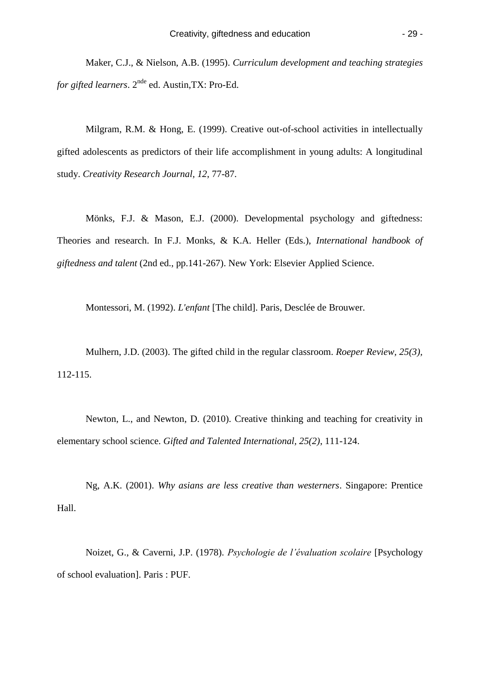Maker, C.J., & Nielson, A.B. (1995). *Curriculum development and teaching strategies for gifted learners.* 2<sup>nde</sup> ed. Austin, TX: Pro-Ed.

Milgram, R.M. & Hong, E. (1999). Creative out-of-school activities in intellectually gifted adolescents as predictors of their life accomplishment in young adults: A longitudinal study. *Creativity Research Journal, 12*, 77-87.

Mönks, F.J. & Mason, E.J. (2000). Developmental psychology and giftedness: Theories and research. In F.J. Monks, & K.A. Heller (Eds.), *International handbook of giftedness and talent* (2nd ed., pp.141-267). New York: Elsevier Applied Science.

Montessori, M. (1992). *L'enfant* [The child]. Paris, Desclée de Brouwer.

Mulhern, J.D. (2003). The gifted child in the regular classroom. *Roeper Review, 25(3),* 112-115.

Newton, L., and Newton, D. (2010). Creative thinking and teaching for creativity in elementary school science. *Gifted and Talented International, 25(2)*, 111-124.

Ng, A.K. (2001). *Why asians are less creative than westerners*. Singapore: Prentice Hall.

Noizet, G., & Caverni, J.P. (1978). *Psychologie de l'évaluation scolaire* [Psychology of school evaluation]. Paris : PUF.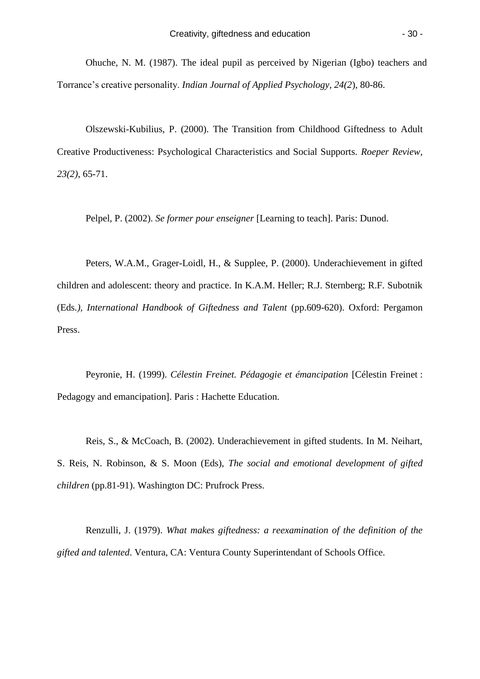Ohuche, N. M. (1987). The ideal pupil as perceived by Nigerian (Igbo) teachers and Torrance's creative personality. *Indian Journal of Applied Psychology, 24(2*), 80-86.

Olszewski-Kubilius, P. (2000). The Transition from Childhood Giftedness to Adult Creative Productiveness: Psychological Characteristics and Social Supports. *Roeper Review, 23(2)*, 65-71.

Pelpel, P. (2002). *Se former pour enseigner* [Learning to teach]. Paris: Dunod.

Peters, W.A.M., Grager-Loidl, H., & Supplee, P. (2000). Underachievement in gifted children and adolescent: theory and practice. In K.A.M. Heller; R.J. Sternberg; R.F. Subotnik (Eds*.), International Handbook of Giftedness and Talent* (pp.609-620). Oxford: Pergamon Press.

Peyronie, H. (1999). *Célestin Freinet. Pédagogie et émancipation* [Célestin Freinet : Pedagogy and emancipation]. Paris : Hachette Education.

Reis, S., & McCoach, B. (2002). Underachievement in gifted students. In M. Neihart, S. Reis, N. Robinson, & S. Moon (Eds), *The social and emotional development of gifted children* (pp.81-91). Washington DC: Prufrock Press.

Renzulli, J. (1979). *What makes giftedness: a reexamination of the definition of the gifted and talented*. Ventura, CA: Ventura County Superintendant of Schools Office.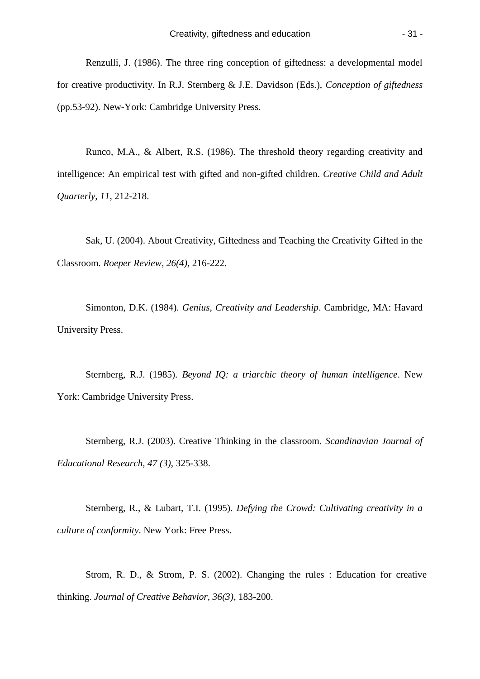Renzulli, J. (1986). The three ring conception of giftedness: a developmental model for creative productivity. In R.J. Sternberg & J.E. Davidson (Eds.), *Conception of giftedness* (pp.53-92). New-York: Cambridge University Press.

Runco, M.A., & Albert, R.S. (1986). The threshold theory regarding creativity and intelligence: An empirical test with gifted and non-gifted children. *Creative Child and Adult Quarterly, 11*, 212-218.

Sak, U. (2004). About Creativity, Giftedness and Teaching the Creativity Gifted in the Classroom. *Roeper Review, 26(4)*, 216-222.

Simonton, D.K. (1984). *Genius, Creativity and Leadership*. Cambridge, MA: Havard University Press.

Sternberg, R.J. (1985). *Beyond IQ: a triarchic theory of human intelligence*. New York: Cambridge University Press.

Sternberg, R.J. (2003). Creative Thinking in the classroom. *Scandinavian Journal of Educational Research, 47 (3)*, 325-338.

Sternberg, R., & Lubart, T.I. (1995). *Defying the Crowd: Cultivating creativity in a culture of conformity*. New York: Free Press.

Strom, R. D., & Strom, P. S. (2002). Changing the rules : Education for creative thinking. *Journal of Creative Behavior, 36(3)*, 183-200.